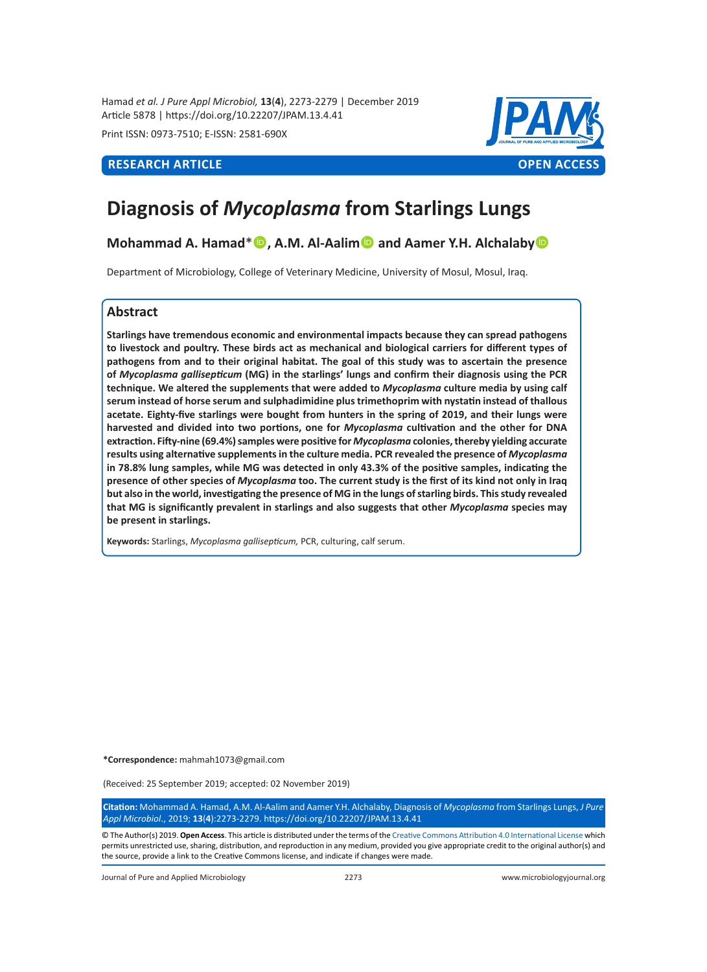Hamad *et al. J Pure Appl Microbiol,* **13**(**4**), 2273-2279 | December 2019 Article 5878 | https://doi.org/10.22207/JPAM.13.4.41

Print ISSN: 0973-7510; E-ISSN: 2581-690X



# **Diagnosis of** *Mycoplasma* **from Starlings Lungs**

## **Mohammad A. Hamad**<sup>\*</sup> **D**, A.M. Al-Aalim **D** and Aamer Y.H. Alchalaby **D**

Department of Microbiology, College of Veterinary Medicine, University of Mosul, Mosul, Iraq.

### **Abstract**

**Starlings have tremendous economic and environmental impacts because they can spread pathogens to livestock and poultry. These birds act as mechanical and biological carriers for different types of pathogens from and to their original habitat. The goal of this study was to ascertain the presence of** *Mycoplasma gallisepticum* **(MG) in the starlings' lungs and confirm their diagnosis using the PCR technique. We altered the supplements that were added to** *Mycoplasma* **culture media by using calf serum instead of horse serum and sulphadimidine plus trimethoprim with nystatin instead of thallous acetate. Eighty-five starlings were bought from hunters in the spring of 2019, and their lungs were harvested and divided into two portions, one for** *Mycoplasma* **cultivation and the other for DNA extraction. Fifty-nine (69.4%) samples were positive for** *Mycoplasma* **colonies, thereby yielding accurate results using alternative supplements in the culture media. PCR revealed the presence of** *Mycoplasma* **in 78.8% lung samples, while MG was detected in only 43.3% of the positive samples, indicating the presence of other species of** *Mycoplasma* **too. The current study is the first of its kind not only in Iraq but also in the world, investigating the presence of MG in the lungs of starling birds. This study revealed that MG is significantly prevalent in starlings and also suggests that other** *Mycoplasma* **species may be present in starlings.**

**Keywords:** Starlings, *Mycoplasma gallisepticum,* PCR, culturing, calf serum.

**\*Correspondence:** mahmah1073@gmail.com

(Received: 25 September 2019; accepted: 02 November 2019)

**Citation:** Mohammad A. Hamad, A.M. Al-Aalim and Aamer Y.H. Alchalaby, Diagnosis of *Mycoplasma* from Starlings Lungs, *J Pure Appl Microbiol*., 2019; **13**(**4**):2273-2279. https://doi.org/10.22207/JPAM.13.4.41

© The Author(s) 2019. **Open Access**. This article is distributed under the terms of the [Creative Commons Attribution 4.0 International License](https://creativecommons.org/licenses/by/4.0/) which permits unrestricted use, sharing, distribution, and reproduction in any medium, provided you give appropriate credit to the original author(s) and the source, provide a link to the Creative Commons license, and indicate if changes were made.

Journal of Pure and Applied Microbiology 2273 www.microbiologyjournal.org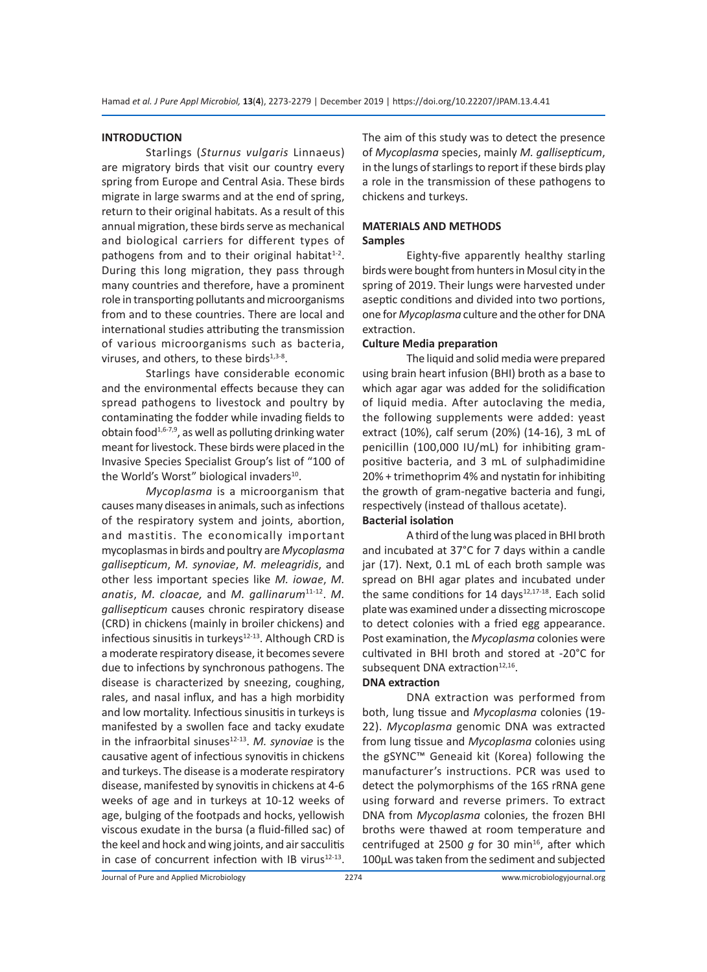#### **INTRODUCTION**

Starlings (*Sturnus vulgaris* Linnaeus) are migratory birds that visit our country every spring from Europe and Central Asia. These birds migrate in large swarms and at the end of spring, return to their original habitats. As a result of this annual migration, these birds serve as mechanical and biological carriers for different types of pathogens from and to their original habitat $1-2$ . During this long migration, they pass through many countries and therefore, have a prominent role in transporting pollutants and microorganisms from and to these countries. There are local and international studies attributing the transmission of various microorganisms such as bacteria, viruses, and others, to these birds $1,3-8$ .

Starlings have considerable economic and the environmental effects because they can spread pathogens to livestock and poultry by contaminating the fodder while invading fields to obtain food<sup>1,6-7,9</sup>, as well as polluting drinking water meant for livestock. These birds were placed in the Invasive Species Specialist Group's list of "100 of the World's Worst" biological invaders $^{10}$ .

*Mycoplasma* is a microorganism that causes many diseases in animals, such as infections of the respiratory system and joints, abortion, and mastitis. The economically important mycoplasmas in birds and poultry are *Mycoplasma gallisepticum*, *M. synoviae*, *M. meleagridis*, and other less important species like *M. iowae*, *M. anatis*, *M. cloacae,* and *M. gallinarum*11-12. *M. gallisepticum* causes chronic respiratory disease (CRD) in chickens (mainly in broiler chickens) and infectious sinusitis in turkeys<sup>12-13</sup>. Although CRD is a moderate respiratory disease, it becomes severe due to infections by synchronous pathogens. The disease is characterized by sneezing, coughing, rales, and nasal influx, and has a high morbidity and low mortality. Infectious sinusitis in turkeys is manifested by a swollen face and tacky exudate in the infraorbital sinuses<sup>12-13</sup>. *M. synoviae* is the causative agent of infectious synovitis in chickens and turkeys. The disease is a moderate respiratory disease, manifested by synovitis in chickens at 4-6 weeks of age and in turkeys at 10-12 weeks of age, bulging of the footpads and hocks, yellowish viscous exudate in the bursa (a fluid-filled sac) of the keel and hock and wing joints, and air sacculitis in case of concurrent infection with IB virus $12-13$ . The aim of this study was to detect the presence of *Mycoplasma* species, mainly *M. gallisepticum*, in the lungs of starlings to report if these birds play a role in the transmission of these pathogens to chickens and turkeys.

#### **MATERIALS AND METHODS Samples**

Eighty-five apparently healthy starling birds were bought from hunters in Mosul city in the spring of 2019. Their lungs were harvested under aseptic conditions and divided into two portions, one for *Mycoplasma* culture and the other for DNA extraction.

#### **Culture Media preparation**

The liquid and solid media were prepared using brain heart infusion (BHI) broth as a base to which agar agar was added for the solidification of liquid media. After autoclaving the media, the following supplements were added: yeast extract (10%), calf serum (20%) (14-16), 3 mL of penicillin (100,000 IU/mL) for inhibiting grampositive bacteria, and 3 mL of sulphadimidine 20% + trimethoprim 4% and nystatin for inhibiting the growth of gram-negative bacteria and fungi, respectively (instead of thallous acetate). **Bacterial isolation**

A third of the lung was placed in BHI broth and incubated at 37°C for 7 days within a candle jar (17). Next, 0.1 mL of each broth sample was spread on BHI agar plates and incubated under the same conditions for 14 days $12,17-18$ . Each solid plate was examined under a dissecting microscope to detect colonies with a fried egg appearance. Post examination, the *Mycoplasma* colonies were cultivated in BHI broth and stored at -20°C for subsequent DNA extraction<sup>12,16</sup>.

#### **DNA extraction**

DNA extraction was performed from both, lung tissue and *Mycoplasma* colonies (19- 22). *Mycoplasma* genomic DNA was extracted from lung tissue and *Mycoplasma* colonies using the gSYNC™ Geneaid kit (Korea) following the manufacturer's instructions. PCR was used to detect the polymorphisms of the 16S rRNA gene using forward and reverse primers. To extract DNA from *Mycoplasma* colonies, the frozen BHI broths were thawed at room temperature and centrifuged at 2500  $g$  for 30 min<sup>16</sup>, after which 100µL was taken from the sediment and subjected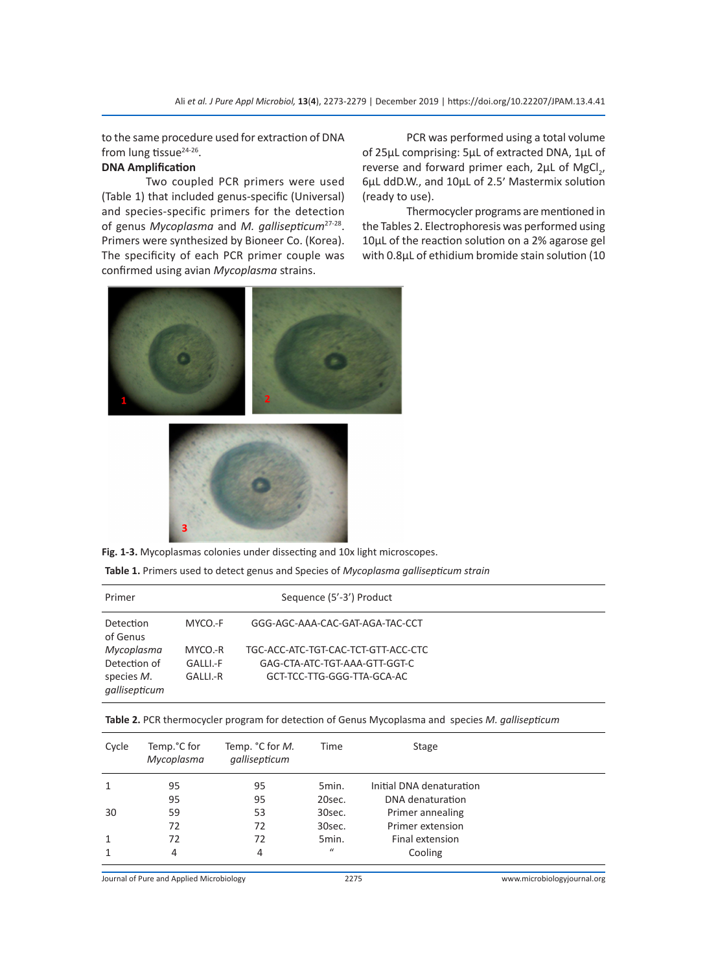to the same procedure used for extraction of DNA from lung tissue $24-26$ .

#### **DNA Amplification**

Two coupled PCR primers were used (Table 1) that included genus-specific (Universal) and species-specific primers for the detection of genus *Mycoplasma* and *M. gallisepticum*27-28. Primers were synthesized by Bioneer Co. (Korea). The specificity of each PCR primer couple was confirmed using avian *Mycoplasma* strains.

PCR was performed using a total volume of 25µL comprising: 5µL of extracted DNA, 1µL of reverse and forward primer each,  $2\mu L$  of MgCl<sub>2</sub>, 6µL ddD.W., and 10µL of 2.5׳ Mastermix solution (ready to use).

Thermocycler programs are mentioned in the Tables 2. Electrophoresis was performed using 10µL of the reaction solution on a 2% agarose gel with 0.8µL of ethidium bromide stain solution (10





**Fig. 1-3.** Mycoplasmas colonies under dissecting and 10x light microscopes.

**Table 1.** Primers used to detect genus and Species of *Mycoplasma gallisepticum strain*

| Primer                      |          | Sequence (5'-3') Product            |  |
|-----------------------------|----------|-------------------------------------|--|
| Detection<br>of Genus       | MYCO.-F  | GGG-AGC-AAA-CAC-GAT-AGA-TAC-CCT     |  |
| Mycoplasma                  | MYCO.-R  | TGC-ACC-ATC-TGT-CAC-TCT-GTT-ACC-CTC |  |
| Detection of                | GALLI.-F | GAG-CTA-ATC-TGT-AAA-GTT-GGT-C       |  |
| species M.<br>qallisepticum | GALLI.-R | GCT-TCC-TTG-GGG-TTA-GCA-AC          |  |

| Table 2. PCR thermocycler program for detection of Genus Mycoplasma and species M. gallisepticum |  |  |  |
|--------------------------------------------------------------------------------------------------|--|--|--|
|--------------------------------------------------------------------------------------------------|--|--|--|

| Cycle | Temp. <sup>o</sup> C for<br>Mycoplasma | Temp. °C for <i>M.</i><br>qallisepticum | Time             | Stage                    |  |
|-------|----------------------------------------|-----------------------------------------|------------------|--------------------------|--|
| 1     | 95                                     | 95                                      | 5 <sub>min</sub> | Initial DNA denaturation |  |
|       | 95                                     | 95                                      | 20sec.           | DNA denaturation         |  |
| 30    | 59                                     | 53                                      | 30sec.           | Primer annealing         |  |
|       | 72                                     | 72                                      | 30sec.           | Primer extension         |  |
| 1     | 72                                     | 72                                      | 5min.            | Final extension          |  |
| 1     | 4                                      | 4                                       | $\mathcal{U}$    | Cooling                  |  |

Journal of Pure and Applied Microbiology 2275 www.microbiologyjournal.org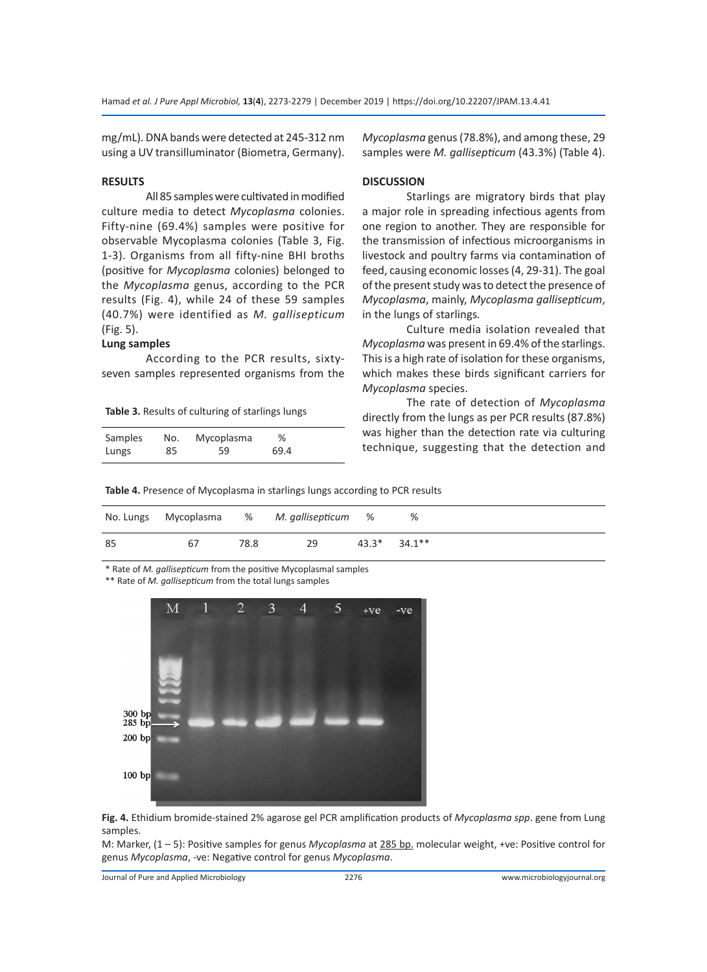mg/mL). DNA bands were detected at 245-312 nm using a UV transilluminator (Biometra, Germany).

#### **RESULTS**

All 85 samples were cultivated in modified culture media to detect *Mycoplasma* colonies. Fifty-nine (69.4%) samples were positive for observable Mycoplasma colonies (Table 3, Fig. 1-3). Organisms from all fifty-nine BHI broths (positive for *Mycoplasma* colonies) belonged to the *Mycoplasma* genus, according to the PCR results (Fig. 4), while 24 of these 59 samples (40.7%) were identified as *M. gallisepticum* (Fig. 5).

#### **Lung samples**

According to the PCR results, sixtyseven samples represented organisms from the

**Table 3.** Results of culturing of starlings lungs

| Samples | No. | Mycoplasma | %    |
|---------|-----|------------|------|
| Lungs   | 85  | 59         | 69.4 |

*Mycoplasma* genus (78.8%), and among these, 29 samples were *M. gallisepticum* (43.3%) (Table 4).

#### **DISCUSSION**

Starlings are migratory birds that play a major role in spreading infectious agents from one region to another. They are responsible for the transmission of infectious microorganisms in livestock and poultry farms via contamination of feed, causing economic losses (4, 29-31). The goal of the present study was to detect the presence of *Mycoplasma*, mainly, *Mycoplasma gallisepticum*, in the lungs of starlings*.*

Culture media isolation revealed that *Mycoplasma* was present in 69.4% of the starlings. This is a high rate of isolation for these organisms, which makes these birds significant carriers for *Mycoplasma* species.

The rate of detection of *Mycoplasma* directly from the lungs as per PCR results (87.8%) was higher than the detection rate via culturing technique, suggesting that the detection and

**Table 4.** Presence of Mycoplasma in starlings lungs according to PCR results

|    |    |      | No. Lungs Mycoplasma % M. gallisepticum % | %                    |
|----|----|------|-------------------------------------------|----------------------|
| 85 | 67 | 78.8 | 29                                        | $43.3^*$ $34.1^{**}$ |

\* Rate of *M. gallisepticum* from the positive Mycoplasmal samples

\*\* Rate of *M. gallisepticum* from the total lungs samples





M: Marker, (1 – 5): Positive samples for genus *Mycoplasma* at 285 bp. molecular weight, +ve: Positive control for genus *Mycoplasma*, -ve: Negative control for genus *Mycoplasma*.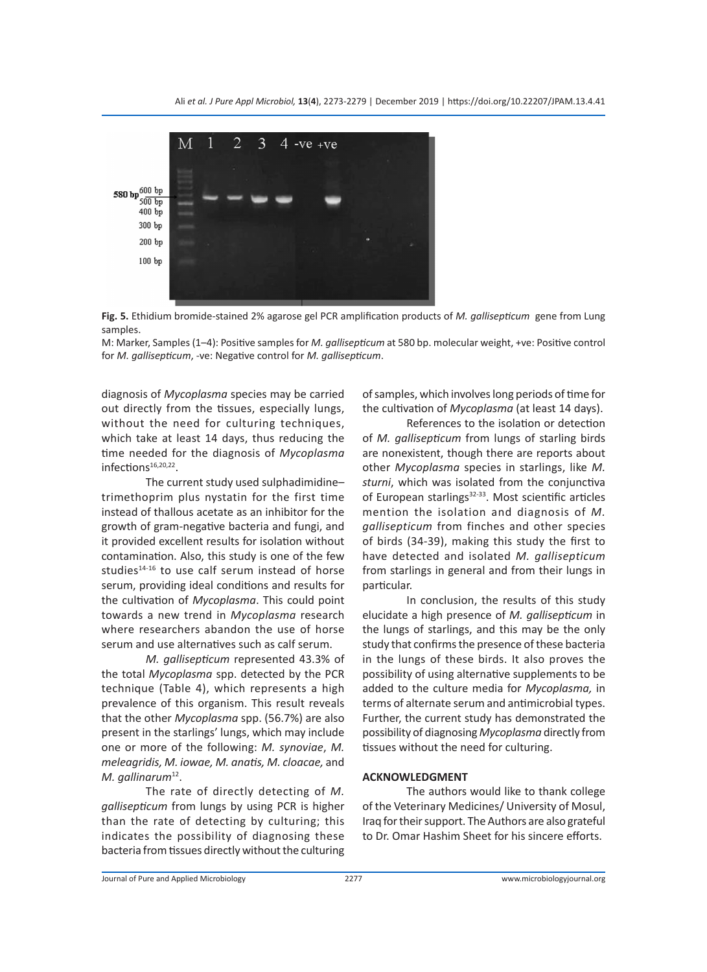

**Fig. 5.** Ethidium bromide-stained 2% agarose gel PCR amplification products of *M. gallisepticum* gene from Lung samples.

M: Marker, Samples (1–4): Positive samples for *M. gallisepticum* at 580 bp. molecular weight, +ve: Positive control for *M. gallisepticum*, -ve: Negative control for *M. gallisepticum*.

diagnosis of *Mycoplasma* species may be carried out directly from the tissues, especially lungs, without the need for culturing techniques, which take at least 14 days, thus reducing the time needed for the diagnosis of *Mycoplasma* infections<sup>16,20,22</sup>.

The current study used sulphadimidine– trimethoprim plus nystatin for the first time instead of thallous acetate as an inhibitor for the growth of gram-negative bacteria and fungi, and it provided excellent results for isolation without contamination. Also, this study is one of the few studies $14-16$  to use calf serum instead of horse serum, providing ideal conditions and results for the cultivation of *Mycoplasma*. This could point towards a new trend in *Mycoplasma* research where researchers abandon the use of horse serum and use alternatives such as calf serum.

*M. gallisepticum* represented 43.3% of the total *Mycoplasma* spp. detected by the PCR technique (Table 4), which represents a high prevalence of this organism. This result reveals that the other *Mycoplasma* spp. (56.7%) are also present in the starlings' lungs, which may include one or more of the following: *M. synoviae*, *M. meleagridis, M. iowae, M. anatis, M. cloacae,* and *M. gallinarum*12.

The rate of directly detecting of *M. gallisepticum* from lungs by using PCR is higher than the rate of detecting by culturing; this indicates the possibility of diagnosing these bacteria from tissues directly without the culturing

of samples, which involves long periods of time for the cultivation of *Mycoplasma* (at least 14 days).

References to the isolation or detection of *M. gallisepticum* from lungs of starling birds are nonexistent, though there are reports about other *Mycoplasma* species in starlings, like *M. sturni*, which was isolated from the conjunctiva of European starlings<sup>32-33</sup>. Most scientific articles mention the isolation and diagnosis of *M. gallisepticum* from finches and other species of birds (34-39), making this study the first to have detected and isolated *M. gallisepticum* from starlings in general and from their lungs in particular.

In conclusion, the results of this study elucidate a high presence of *M. gallisepticum* in the lungs of starlings, and this may be the only study that confirms the presence of these bacteria in the lungs of these birds. It also proves the possibility of using alternative supplements to be added to the culture media for *Mycoplasma,* in terms of alternate serum and antimicrobial types. Further, the current study has demonstrated the possibility of diagnosing *Mycoplasma* directly from tissues without the need for culturing.

#### **ACKNOWLEDGMENT**

The authors would like to thank college of the Veterinary Medicines/ University of Mosul, Iraq for their support. The Authors are also grateful to Dr. Omar Hashim Sheet for his sincere efforts.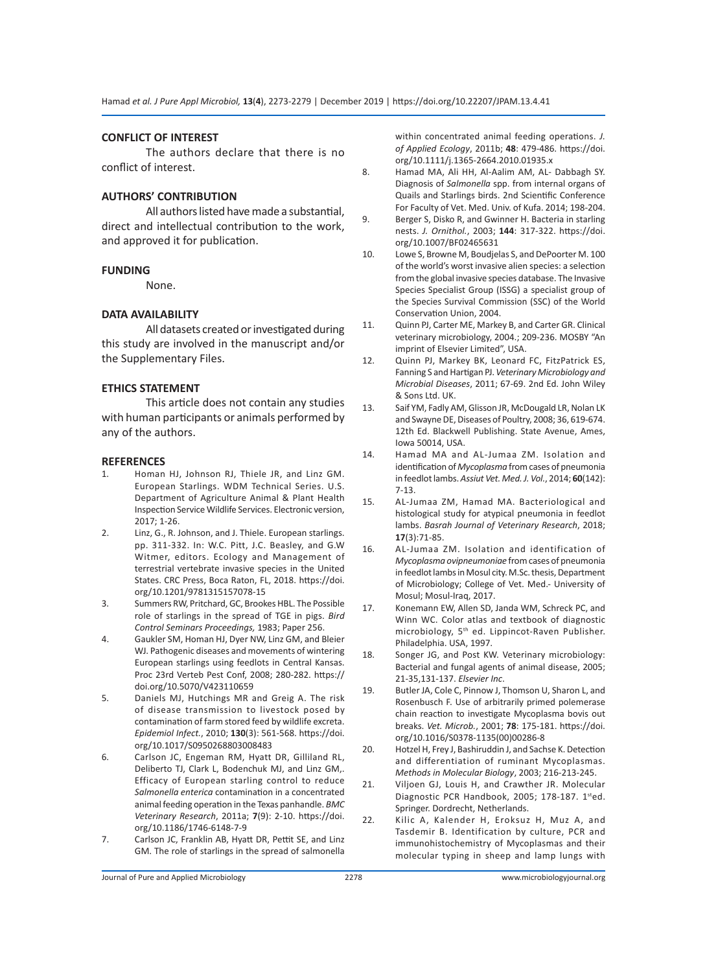#### **CONFLICT OF INTEREST**

The authors declare that there is no conflict of interest.

#### **AUTHORS' CONTRIBUTION**

All authors listed have made a substantial, direct and intellectual contribution to the work, and approved it for publication.

#### **FUNDING**

None.

#### **DATA AVAILABILITY**

All datasets created or investigated during this study are involved in the manuscript and/or the Supplementary Files.

#### **ETHICS STATEMENT**

This article does not contain any studies with human participants or animals performed by any of the authors.

#### **REFERENCES**

- 1. Homan HJ, Johnson RJ, Thiele JR, and Linz GM. European Starlings. WDM Technical Series. U.S. Department of Agriculture Animal & Plant Health Inspection Service Wildlife Services. Electronic version, 2017; 1-26.
- 2. Linz, G., R. Johnson, and J. Thiele. European starlings. pp. 311-332. In: W.C. Pitt, J.C. Beasley, and G.W Witmer, editors. Ecology and Management of terrestrial vertebrate invasive species in the United States. CRC Press, Boca Raton, FL, 2018. https://doi. org/10.1201/9781315157078-15
- 3. Summers RW, Pritchard, GC, Brookes HBL. The Possible role of starlings in the spread of TGE in pigs. *Bird Control Seminars Proceedings,* 1983; Paper 256.
- 4. Gaukler SM, Homan HJ, Dyer NW, Linz GM, and Bleier WJ. Pathogenic diseases and movements of wintering European starlings using feedlots in Central Kansas. Proc 23rd Verteb Pest Conf, 2008; 280-282. https:// doi.org/10.5070/V423110659
- 5. Daniels MJ, Hutchings MR and Greig A. The risk of disease transmission to livestock posed by contamination of farm stored feed by wildlife excreta. *Epidemiol Infect.*, 2010; **130**(3): 561-568. https://doi. org/10.1017/S0950268803008483
- 6. Carlson JC, Engeman RM, Hyatt DR, Gilliland RL, Deliberto TJ, Clark L, Bodenchuk MJ, and Linz GM,. Efficacy of European starling control to reduce *Salmonella enterica* contamination in a concentrated animal feeding operation in the Texas panhandle. *BMC Veterinary Research*, 2011a; **7**(9): 2-10. https://doi. org/10.1186/1746-6148-7-9
- 7. Carlson JC, Franklin AB, Hyatt DR, Pettit SE, and Linz GM. The role of starlings in the spread of salmonella

within concentrated animal feeding operations. *J. of Applied Ecology*, 2011b; **48**: 479-486. https://doi. org/10.1111/j.1365-2664.2010.01935.x

- 8. Hamad MA, Ali HH, Al-Aalim AM, AL- Dabbagh SY. Diagnosis of *Salmonella* spp. from internal organs of Quails and Starlings birds. 2nd Scientific Conference For Faculty of Vet. Med. Univ. of Kufa. 2014; 198-204.
- 9. Berger S, Disko R, and Gwinner H. Bacteria in starling nests. *J. Ornithol.*, 2003; **144**: 317-322. https://doi. org/10.1007/BF02465631
- 10. Lowe S, Browne M, Boudjelas S, and DePoorter M. 100 of the world's worst invasive alien species: a selection from the global invasive species database. The Invasive Species Specialist Group (ISSG) a specialist group of the Species Survival Commission (SSC) of the World Conservation Union, 2004.
- 11. Quinn PJ, Carter ME, Markey B, and Carter GR. Clinical veterinary microbiology, 2004.; 209-236. MOSBY "An imprint of Elsevier Limited", USA.
- 12. Quinn PJ, Markey BK, Leonard FC, FitzPatrick ES, Fanning S and Hartigan PJ. *Veterinary Microbiology and Microbial Diseases*, 2011; 67-69. 2nd Ed. John Wiley & Sons Ltd. UK.
- 13. Saif YM, Fadly AM, Glisson JR, McDougald LR, Nolan LK and Swayne DE, Diseases of Poultry, 2008; 36, 619-674. 12th Ed. Blackwell Publishing. State Avenue, Ames, Iowa 50014, USA.
- 14. Hamad MA and AL-Jumaa ZM. Isolation and identification of *Mycoplasma* from cases of pneumonia in feedlot lambs. *Assiut Vet. Med. J. Vol.*, 2014; **60**(142): 7-13.
- 15. AL-Jumaa ZM, Hamad MA. Bacteriological and histological study for atypical pneumonia in feedlot lambs. *Basrah Journal of Veterinary Research*, 2018; **17**(3):71-85.
- 16. AL-Jumaa ZM. Isolation and identification of *Mycoplasma ovipneumoniae* from cases of pneumonia in feedlot lambs in Mosul city. M.Sc. thesis, Department of Microbiology; College of Vet. Med.- University of Mosul; Mosul-Iraq, 2017.
- 17. Konemann EW, Allen SD, Janda WM, Schreck PC, and Winn WC. Color atlas and textbook of diagnostic microbiology, 5th ed. Lippincot-Raven Publisher. Philadelphia. USA, 1997.
- 18. Songer JG, and Post KW. Veterinary microbiology: Bacterial and fungal agents of animal disease, 2005; 21-35,131-137. *Elsevier Inc*.
- 19. Butler JA, Cole C, Pinnow J, Thomson U, Sharon L, and Rosenbusch F. Use of arbitrarily primed polemerase chain reaction to investigate Mycoplasma bovis out breaks. *Vet. Microb.*, 2001; **78**: 175-181. https://doi. org/10.1016/S0378-1135(00)00286-8
- 20. Hotzel H, Frey J, Bashiruddin J, and Sachse K. Detection and differentiation of ruminant Mycoplasmas. *Methods in Molecular Biology*, 2003; 216-213-245.
- 21. Viljoen GJ, Louis H, and Crawther JR. Molecular Diagnostic PCR Handbook, 2005; 178-187. 1sted. Springer. Dordrecht, Netherlands.
- 22. Kilic A, Kalender H, Eroksuz H, Muz A, and Tasdemir B. Identification by culture, PCR and immunohistochemistry of Mycoplasmas and their molecular typing in sheep and lamp lungs with